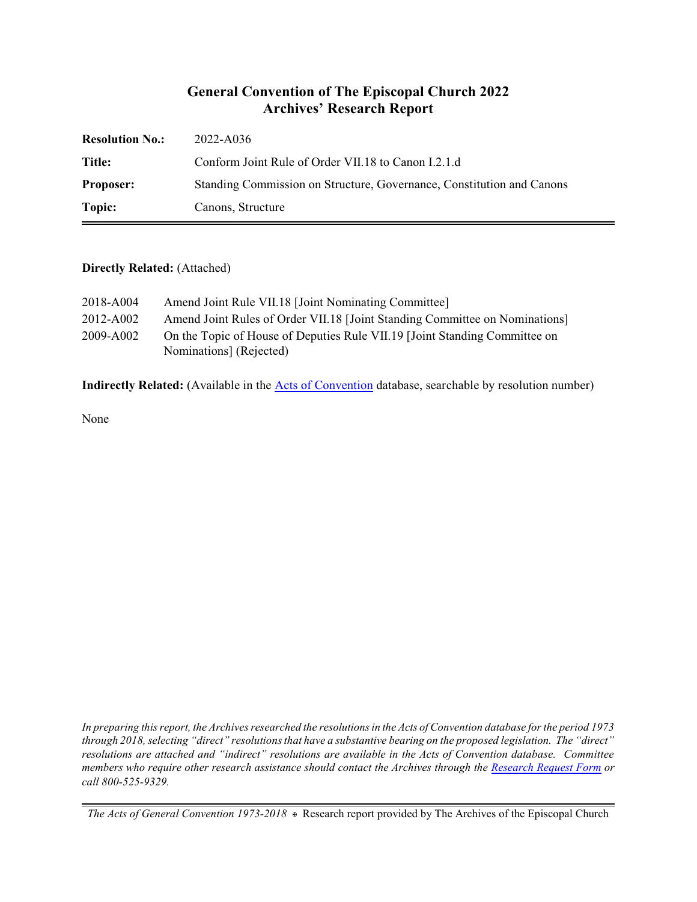### **General Convention of The Episcopal Church 2022 Archives' Research Report**

| <b>Resolution No.:</b> | 2022-A036                                                             |
|------------------------|-----------------------------------------------------------------------|
| Title:                 | Conform Joint Rule of Order VII.18 to Canon I.2.1.d                   |
| <b>Proposer:</b>       | Standing Commission on Structure, Governance, Constitution and Canons |
| Topic:                 | Canons, Structure                                                     |

#### **Directly Related:** (Attached)

| 2018-A004 | Amend Joint Rule VII.18 [Joint Nominating Committee]                                                  |
|-----------|-------------------------------------------------------------------------------------------------------|
| 2012-A002 | Amend Joint Rules of Order VII.18 [Joint Standing Committee on Nominations]                           |
| 2009-A002 | On the Topic of House of Deputies Rule VII.19 [Joint Standing Committee on<br>Nominations] (Rejected) |

Indirectly Related: (Available in the **Acts of Convention** database, searchable by resolution number)

None

*In preparing this report, the Archives researched the resolutions in the Acts of Convention database for the period 1973 through 2018, selecting "direct" resolutions that have a substantive bearing on the proposed legislation. The "direct" resolutions are attached and "indirect" resolutions are available in the Acts of Convention database. Committee members who require other research assistance should contact the Archives through the Research [Request Form](https://www.episcopalarchives.org/contact/research-request-form) or call 800-525-9329.*

*The Acts of General Convention 1973-2018*  $*$  Research report provided by The Archives of the Episcopal Church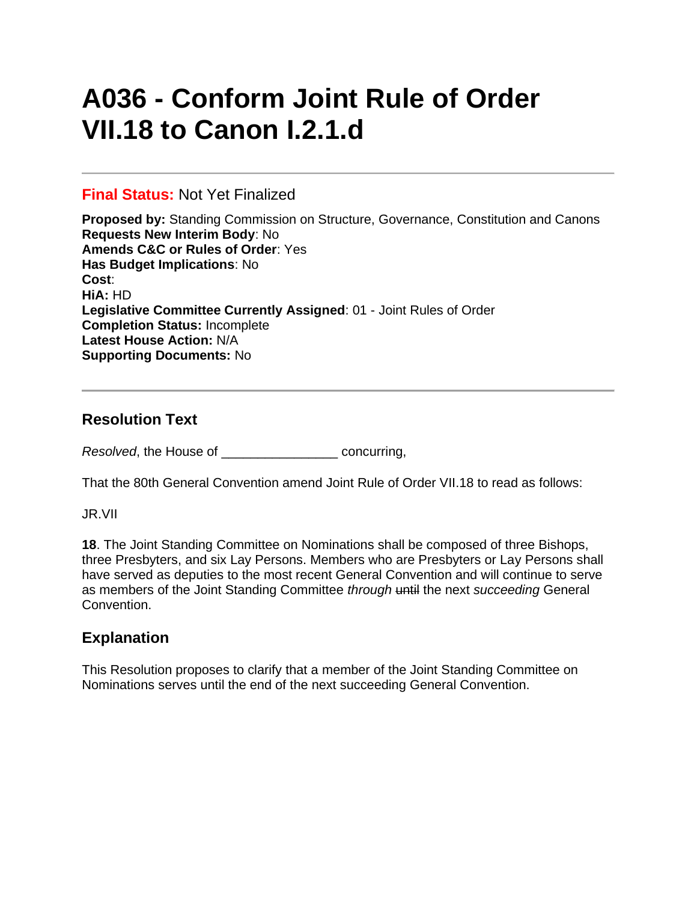# **A036 - Conform Joint Rule of Order VII.18 to Canon I.2.1.d**

#### **Final Status:** Not Yet Finalized

**Proposed by:** Standing Commission on Structure, Governance, Constitution and Canons **Requests New Interim Body**: No **Amends C&C or Rules of Order**: Yes **Has Budget Implications**: No **Cost**: **HiA:** HD **Legislative Committee Currently Assigned**: 01 - Joint Rules of Order **Completion Status:** Incomplete **Latest House Action:** N/A **Supporting Documents:** No

## **Resolution Text**

*Resolved*, the House of \_\_\_\_\_\_\_\_\_\_\_\_\_\_\_\_ concurring,

That the 80th General Convention amend Joint Rule of Order VII.18 to read as follows:

JR.VII

**18**. The Joint Standing Committee on Nominations shall be composed of three Bishops, three Presbyters, and six Lay Persons. Members who are Presbyters or Lay Persons shall have served as deputies to the most recent General Convention and will continue to serve as members of the Joint Standing Committee *through* until the next *succeeding* General Convention.

# **Explanation**

This Resolution proposes to clarify that a member of the Joint Standing Committee on Nominations serves until the end of the next succeeding General Convention.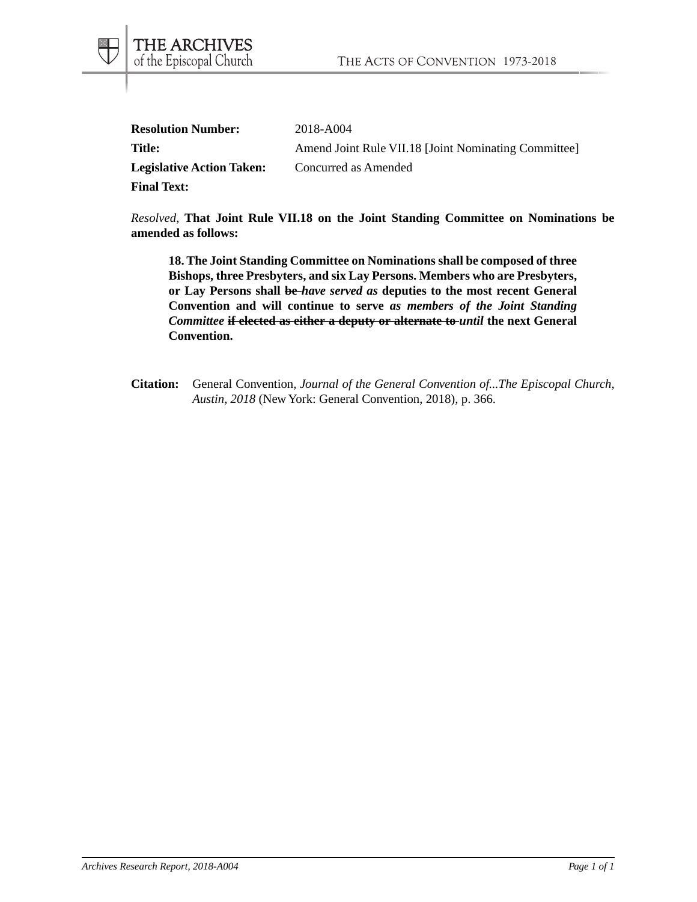| <b>Resolution Number:</b>        | 2018-A004                                            |
|----------------------------------|------------------------------------------------------|
| Title:                           | Amend Joint Rule VII.18 [Joint Nominating Committee] |
| <b>Legislative Action Taken:</b> | Concurred as Amended                                 |
| <b>Final Text:</b>               |                                                      |

THE ARCHIVES<br>of the Episcopal Church

*Resolved*, **That Joint Rule VII.18 on the Joint Standing Committee on Nominations be amended as follows:**

**18. The Joint Standing Committee on Nominations shall be composed of three Bishops, three Presbyters, and six Lay Persons. Members who are Presbyters, or Lay Persons shall be** *have served as* **deputies to the most recent General Convention and will continue to serve** *as members of the Joint Standing Committee* **if elected as either a deputy or alternate to** *until* **the next General Convention.**

**Citation:** General Convention, *Journal of the General Convention of...The Episcopal Church, Austin, 2018* (New York: General Convention, 2018), p. 366.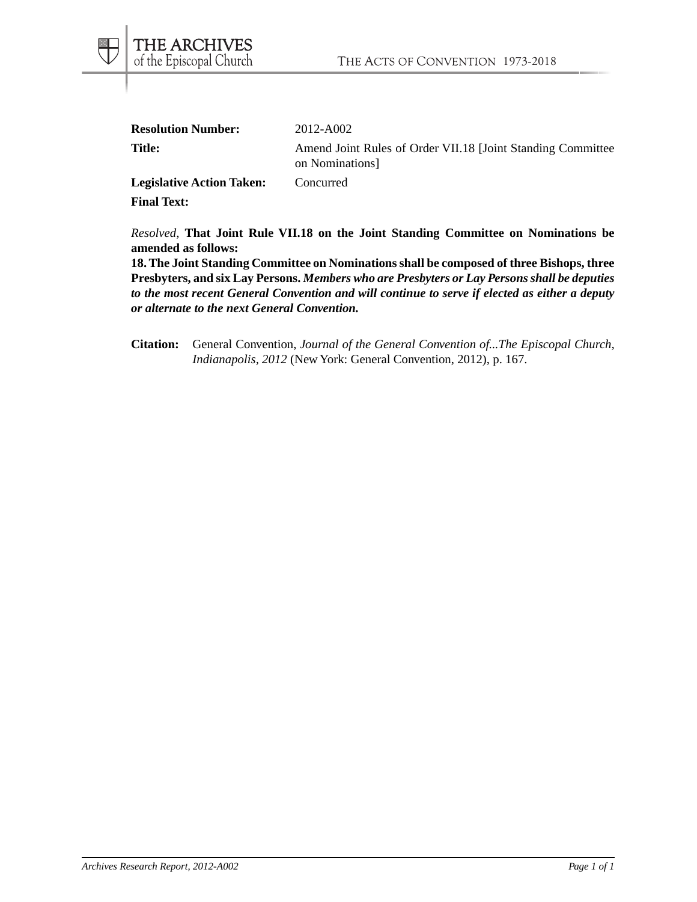| <b>Resolution Number:</b>  | 2012-A002                                                                     |
|----------------------------|-------------------------------------------------------------------------------|
| <b>Title:</b>              | Amend Joint Rules of Order VII.18 [Joint Standing Committee<br>on Nominations |
| Logiclative Action Telegre | Conquued                                                                      |

**Legislative Action Taken:** Concurred **Final Text:**

*Resolved*, **That Joint Rule VII.18 on the Joint Standing Committee on Nominations be amended as follows:**

**18. The Joint Standing Committee on Nominations shall be composed of three Bishops, three Presbyters, and six Lay Persons.** *Members who are Presbyters or Lay Persons shall be deputies to the most recent General Convention and will continue to serve if elected as either a deputy or alternate to the next General Convention.*

**Citation:** General Convention, *Journal of the General Convention of...The Episcopal Church, Indianapolis, 2012* (New York: General Convention, 2012), p. 167.